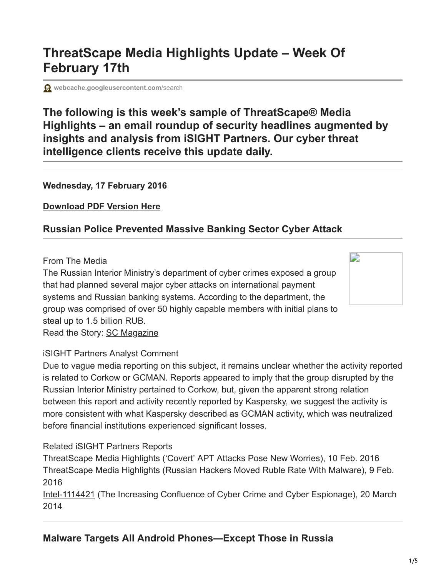# **ThreatScape Media Highlights Update – Week Of February 17th**

**[webcache.googleusercontent.com](http://webcache.googleusercontent.com/search?q=cache:TWoHHzH9gU0J:en.hackdig.com/02/39538.htm)/search** 

# **The following is this week's sample of ThreatScape® Media Highlights – an email roundup of security headlines augmented by insights and analysis from iSIGHT Partners. Our cyber threat intelligence clients receive this update daily.**

#### **Wednesday, 17 February 2016**

**[Download PDF Version Here](http://cdn2.hubspot.net/hubfs/266554/17_Feb_ThreatScape_Media_Highlights.pdf)**

# **Russian Police Prevented Massive Banking Sector Cyber Attack**

#### From The Media

The Russian Interior Ministry's department of cyber crimes exposed a group that had planned several major cyber attacks on international payment systems and Russian banking systems. According to the department, the group was comprised of over 50 highly capable members with initial plans to steal up to 1.5 billion RUB. Read the Story: [SC Magazine](http://www.scmagazineuk.com/russian-police-prevented-massive-banking-sector-cyber-attack/article/473902/)



# iSIGHT Partners Analyst Comment

Due to vague media reporting on this subject, it remains unclear whether the activity reported is related to Corkow or GCMAN. Reports appeared to imply that the group disrupted by the Russian Interior Ministry pertained to Corkow, but, given the apparent strong relation between this report and activity recently reported by Kaspersky, we suggest the activity is more consistent with what Kaspersky described as GCMAN activity, which was neutralized before financial institutions experienced significant losses.

#### Related iSIGHT Partners Reports

ThreatScape Media Highlights ('Covert' APT Attacks Pose New Worries), 10 Feb. 2016 ThreatScape Media Highlights (Russian Hackers Moved Ruble Rate With Malware), 9 Feb. 2016

[Intel-1114421](http://threatscape.isightpartners.com/e1t/c/*W6Xpb5p1JJSPTW5q6S3N7HmD6x0/*W49HX1p2KtmZGW5-gt7W752b5R0/5/f18dQhb0Sq5y1X6stXW1f5cFF1m65myW3DCP3t4cysf0W5_hvLB1mhDJwW39DrZZ5twG1hVXDfX77cPhm1W6V0X112LVhmpW549CGt4dQ1q2VrzZDM8Z3fw_W4bQYFr2KFMjHVtMxVG2Q1QSwW2MznrN5nbq6BVGXpVf3ZC-CPW2_YRY65nbf0TW6F52Nf1RQx5rW4HT6HW98G6D_W1Qw1Q68sZ4WSW67b7w67hYCG4W3N1M0F2GRdFNN5tNvlgn30cfV70Gr_6tG77hW98wKCS2hBQwBW1MqhJK7ldyjxW608vxT6FPWf9W6qZzVs6vWGKLW1N1-cv7j_k-9W7KSw-s7jVYdBW85JsYz1xxjfgW7vdkDP6vTfdcW7HDCSP1G9M8kW1Phbrp5_0kv7W22c-7g1fsRd4W1Q4lYD6KncLRW1lwx5v7ndzGhW2GL6WR88tgQ2W3bwBFy3xR0s5W4Pw1Vk2sbPxnV74Cb54rw1BHW4QH8sG11fL61W24RqJ88BVK_CW24V_vS9b9L4qW8HMWD85DvVYsW25XhJW6m3y7NW7KZzFH3wLfM4TDpqy5HyQLF103) (The Increasing Confluence of Cyber Crime and Cyber Espionage), 20 March 2014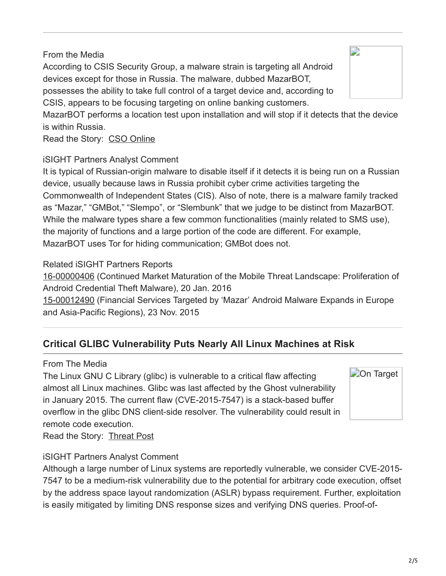# From the Media

According to CSIS Security Group, a malware strain is targeting all Android devices except for those in Russia. The malware, dubbed MazarBOT, possesses the ability to take full control of a target device and, according to CSIS, appears to be focusing targeting on online banking customers. MazarBOT performs a location test upon installation and will stop if it detects that the device is within Russia.

Read the Story: [CSO Online](http://www.csoonline.com/article/3033143/security/malware-targets-all-android-phones-except-those-in-russia.html)

# iSIGHT Partners Analyst Comment

It is typical of Russian-origin malware to disable itself if it detects it is being run on a Russian device, usually because laws in Russia prohibit cyber crime activities targeting the Commonwealth of Independent States (CIS). Also of note, there is a malware family tracked as "Mazar," "GMBot," "Slempo", or "Slembunk" that we judge to be distinct from MazarBOT. While the malware types share a few common functionalities (mainly related to SMS use), the majority of functions and a large portion of the code are different. For example, MazarBOT uses Tor for hiding communication; GMBot does not.

## Related iSIGHT Partners Reports

[16-00000406](http://threatscape.isightpartners.com/e1t/c/*W6Xpb5p1JJSPTW5q6S3N7HmD6x0/*W8VFDD998H6YKW1S7ydf6YYgr70/5/f18dQhb0Sq5B1X6stXW1f5cFF1m65myW3DCP3t4cysf0W5-PTmh1mhDJwW39DrZZ5twG1hVXDfX77cPhlyVbXTC_4s2zfBW4vgKM197QBs1W95RRrC3Ts7bDN98jxtHdXNNyW11RZhK8Fdh1CN8k1dMQpSBF3W8WhRvz52Xz4GW4NFdVX31blbhW328bfh2flXXQN4JFgP27d2GnW1L4xyj6FKg-TW2XsCWx7tfTF5W7lD-gh7wVsVmVPBbh-7zN65hW1CcbxH9dsRH5W2hBQwB1MqhJKW7ldyjx608MF6W1wqnhG19ytqpW7156vH771_TVW7JGrf_1xxYB0W1lF6Zg2fSxlCW1Y6k-468KK-xW7zXqJV1kj_W9W1Q2CLT7hY-7JW1T_JjK1z8Qs3W7bkLHR7n0kHnW22-1-f7cYhJCW82mh9C1WZvrgW7c6yKR3bwBC9W1Nb__G3nSW3FVVR6H24q1sj0W1l5rsh54W6rbW5_PnKn1Ngx1cW51bsdr6MX8WtW1wgkwt3DvBwXW4gNgfz8_qR65W1m9yFp9j6d4zM4ZDLy1_P-0f3ntZYW11) (Continued Market Maturation of the Mobile Threat Landscape: Proliferation of Android Credential Theft Malware), 20 Jan. 2016

[15-00012490](http://threatscape.isightpartners.com/e1t/c/*W6Xpb5p1JJSPTW5q6S3N7HmD6x0/*W3qQlWJ66GwXFW4blHcb8fhtN70/5/f18dQhb0Sq5B1X6stXW1f5cFF1m65myW3DCP3t4cysf0W5-PTmh1mhDJwW39DrZZ5twG1hVXDfX77cPhm1W2bs-Bk2LVhmpW549CGt4dQ1q2VrzZDM8Z3fw_W4bQTmQ4gZm6-MsNmG6wts8ZW4bJ02h4b_rKwW7MbC3k1SKVVfN2M_km_qlrp3W32p-B16DCvp0N8ncw46MP9zFN3fNkD_QJJn6W3Lqnm_8q5FTlN6skKw24647dW7-JXR61lRb4_N61mzVzn51bsW5_N0_w5K_zXKW3lj2tv3blhRkW3XMlfZ5L_J41MMFFSGF8DTvW3-j9yk5sdlzlW5PtCL717YKbJW3n8FBB5hjbsgW5sFDsk8xB66QN3gqtgyX9vTyW5J23hY8BtxQCW3zx0Gl8zVzxRW5YlwQ35F4nj4W32rjfP31ztZqN3ZSc8fx_QkyW7K_mzF7cNnGLW73R1h2224kXkW5Z3bcB1vs8CSW5FLpDT4QDcJ_W1vt47Q10MhMVW8VdJkF2B6l4NW2DQYxC3vQq4JW3CTcQD70x0rhW1NwBMj1MKdbSf3fxtK311) (Financial Services Targeted by 'Mazar' Android Malware Expands in Europe and Asia-Pacific Regions), 23 Nov. 2015

# **Critical GLIBC Vulnerability Puts Nearly All Linux Machines at Risk**

#### From The Media

The Linux GNU C Library (glibc) is vulnerable to a critical flaw affecting almost all Linux machines. Glibc was last affected by the Ghost vulnerability in January 2015. The current flaw (CVE-2015-7547) is a stack-based buffer overflow in the glibc DNS client-side resolver. The vulnerability could result in remote code execution.

**D**[On Target](http://www.isightpartners.com/wp-content/uploads/2014/03/On-Target.png)

Read the Story: [Threat Post](https://threatpost.com/critical-glibc-vulnerability-puts-all-linux-machines-at-risk/116261/)

## iSIGHT Partners Analyst Comment

Although a large number of Linux systems are reportedly vulnerable, we consider CVE-2015- 7547 to be a medium-risk vulnerability due to the potential for arbitrary code execution, offset by the address space layout randomization (ASLR) bypass requirement. Further, exploitation is easily mitigated by limiting DNS response sizes and verifying DNS queries. Proof-of-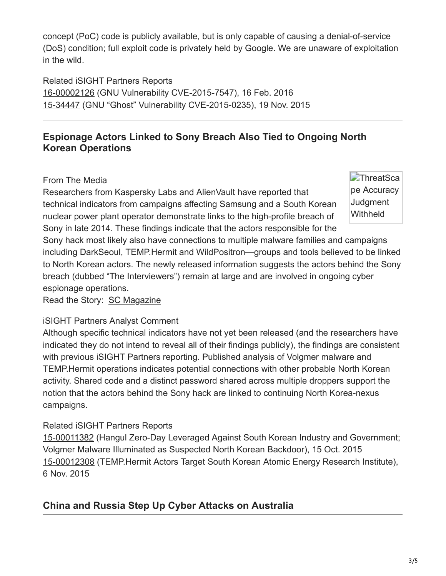concept (PoC) code is publicly available, but is only capable of causing a denial-of-service (DoS) condition; full exploit code is privately held by Google. We are unaware of exploitation in the wild.

Related iSIGHT Partners Reports [16-00002126](http://threatscape.isightpartners.com/e1t/c/*W6Xpb5p1JJSPTW5q6S3N7HmD6x0/*N77KmJh1cVPfW10fLjh8d4ZGg0/5/f18dQhb0Sq5B1X6stXW1f5cFF1m65myW3DCP3t4cysf0W5-PTmh1mhDJwW39DrZZ5twG1hVXDfX77cPhm1W2bs-Bk2LVhmpW549CGt4dQ1q2VrzZDM8Z3fw_W4bQTq94d-_V2W7ld91Y6-gPgcW2gNHF319wZTJW7zSF311tlbSzW22YCP-37pHBmN1mpB116L46YN5Z-M0D-zhFSW47YlYy4bfcHbW47Xx4z3C811XW4-THQz2-FdZcW60Rkcx4Dl4vzW3sxGC-8g1R_nW8QKpyr4sj3hVW2BcyM91mGWnDW51hHhR874BnXW5krSX48mVzSZW2xDFkw2pvGk7W6ZqJGh5v6ZHfW8Sl-s11pcjK9W2V3qgF8rkWrBN5tZnvbbGpMfW7d6YHk42h9qgW5CVvZm50zKwBN1m_-wxP8G7BW3yHH1H5wf2W9VcH4cT6SSJNcMcb2WHVzQv-VVn7DD12GYFgW7qJ2s212Z6XGW8rSDkK7mt3V-W3pfnpc7rWFRhW87DCK83Rrb4RW7wzHfr7schs2W3_2KPL5MYcsrMdm8X511YtWf7hlCsW03) (GNU Vulnerability CVE-2015-7547), 16 Feb. 2016 [15-34447](http://threatscape.isightpartners.com/e1t/c/*W6Xpb5p1JJSPTW5q6S3N7HmD6x0/*N3CsP1jWMBxDW4JhqSW6h1xyt0/5/f18dQhb0Sq5M1X6stXW1f5cFF1m65myW3DCP3t4cysf0W5-qVB31mhDJwW39DrZZ5twG1hVXDfX77cPhm1W8f_H832LVhmpW549CGt4dQ1q2VrzZDM8Z3fw_W4bQTmQ4hYLCWW2QxQXt2MTPSyVKng6q1Wg4bjN2sBFCFK3QDNVJB52y4Bg-DRVKVQV24Y8Lp2W1DtShG1FpT3wW2KDbdJ1v14y7N2SwjxDPz829W1yc9D32R4SDPW2JDZKm2JDgVLVP88mB2Fq95DW22WLyB6HBHnDW6qG73422dP25W1W5HfN89w3FWW6914BY1vbSnBW1W6Z4D243BLgW6MC5z-1ykP7CW7VXPyS7b7BTdW7XPfVQ7HHZg3W1zry2p1zBGVfW6Bv9837j39wnW2d16m_6Bt5c2W7c-GV21L09J2W2hPcq_1Pf6SpVClwbq64TT97W54qWs34PxC8jW448frN2w2nxbN2-VWRQ9FKcrVd8rw02-XLQ_W21vBwM8pmwTDW56fKht5cFX97W6ZDThk79LtFrW4GYzyx3y19vCW3wqsn08mV74V111) (GNU "Ghost" Vulnerability CVE-2015-0235), 19 Nov. 2015

# **Espionage Actors Linked to Sony Breach Also Tied to Ongoing North Korean Operations**

#### From The Media

Researchers from Kaspersky Labs and AlienVault have reported that technical indicators from campaigns affecting Samsung and a South Korean nuclear power plant operator demonstrate links to the high-profile breach of Sony in late 2014. These findings indicate that the actors responsible for the **ThreatSca** [pe Accuracy](http://www.isightpartners.com/wp-content/uploads/2014/03/Judgement-Withheld.png) **Judgment Withheld** 

Sony hack most likely also have connections to multiple malware families and campaigns including DarkSeoul, TEMP.Hermit and WildPositron—groups and tools believed to be linked to North Korean actors. The newly released information suggests the actors behind the Sony breach (dubbed "The Interviewers") remain at large and are involved in ongoing cyber espionage operations.

Read the Story: [SC Magazine](http://www.scmagazine.com/sony-hackers-are-still-hacking-researchers-say/article/474166/)

## iSIGHT Partners Analyst Comment

Although specific technical indicators have not yet been released (and the researchers have indicated they do not intend to reveal all of their findings publicly), the findings are consistent with previous iSIGHT Partners reporting. Published analysis of Volgmer malware and TEMP.Hermit operations indicates potential connections with other probable North Korean activity. Shared code and a distinct password shared across multiple droppers support the notion that the actors behind the Sony hack are linked to continuing North Korea-nexus campaigns.

## Related iSIGHT Partners Reports

[15-00011382](http://threatscape.isightpartners.com/e1t/c/*W6Xpb5p1JJSPTW5q6S3N7HmD6x0/*W18SqLf7XqMZqW3dMRCk45zQfq0/5/f18dQhb0Sq5B1X6stXW1f5cFF1m65myW3DCP3t4cysf0W5-PTmh1mhDJwW39DrZZ5twG1hVXDfX77cPhm1W2bs-Bk2LVhmpW549CGt4dQ1q2VrzZDM8Z3fw_W4bQTmQ4gZm6-VrPbCJ582S5tW4bJ02h4b_rKwW7MbC3k1SKVVfN2M_km_qlrp3W32p-B16DCvp0N8ncw46MP9zFN3fNkD_QJJn6W3Lqnm_8q5FTlN6skKw24647dW7-JXR61lRb4_N61mzVzn51bsW5_N0_w5K_zXKW3lj2tv3blhRkW6gCjZ_8lKnwVW3TmhLb8j4twnN5QvZC2_wpJ7W5mWG463dhJr5W8wwh7833y2hDW171tBC5jQ2CQW8Hqbcc3BvFR9W3Zk1mw3BvPpqW5jjbJ23hQQXqW5FKmRp15nZZMW8c9t9W2-11rnN8zVm5Gk8xjrW7K_mzF7cNnGLW73R1h2224kXkW5Z3bcB1vs8CSW5FLpDT4QDcJ_W1vt47Q10MhMVW8VdJkF2B6l4NW2DQYxC3vQq4JW3CTcQD70x0rhW1NwBMj1MKddNf80YDqG11) (Hangul Zero-Day Leveraged Against South Korean Industry and Government; Volgmer Malware Illuminated as Suspected North Korean Backdoor), 15 Oct. 2015 [15-00012308](http://threatscape.isightpartners.com/e1t/c/*W6Xpb5p1JJSPTW5q6S3N7HmD6x0/*VRGVQd6xDXWbW6PBq6_1C0NLg0/5/f18dQhb0Sq5B1X6stXW1f5cFF1m65myW3DCP3t4cysf0W5-PTmh1mhDJwW39DrZZ5twG1hVXDfX77cPhm1W2bs-Bk2LVhmpW549CGt4dQ1q2VrzZDM8Z3fw_W4bQTmQ4gZm6-VsNtfZ1FFnNJW4bJ02h4b_rKwW7MbC3k1SKVVfN2M_km_qlrp3W32p-B16DCvp0N8ncw46MP9zFN3fNkD_QJJn6W3Lqnm_8q5FTlN6skKw24647dW7-JXR61lRb4_N61mzVzn51bsW5_N0_w5K_zXKW3lj2tv3blhRkN100Gr5SdF5DW3CyCFg3rfZcgW5wLxbN3dNRv-W8hM8Q85RTb-qW39rhN938rvqbW11-z4X3RnVMhVLJVwG5mbvWcW8ztFPf5rbYb4W8lCmr_33BKJ2W3cNbCz12n0WwW36sZPn8MLCL0N8MqM3vk8xjrW7K_mzF7cNnGLW73R1h2224kXkW5Z3bcB1vs8CSW5FLpDT4QDcJ_W1vt47Q10MhMVW8VdJkF2B6l4NW2DQYxC3vQq4JW3CTcQD70x0rhW1NwBMj1MKddNf8j_C8Z11) (TEMP.Hermit Actors Target South Korean Atomic Energy Research Institute), 6 Nov. 2015

# **China and Russia Step Up Cyber Attacks on Australia**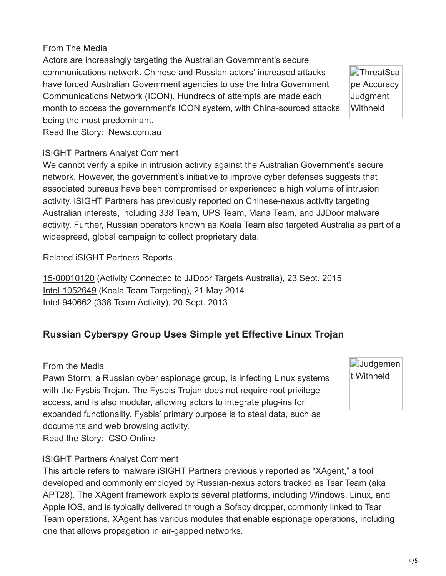#### From The Media

Actors are increasingly targeting the Australian Government's secure communications network. Chinese and Russian actors' increased attacks have forced Australian Government agencies to use the Intra Government Communications Network (ICON). Hundreds of attempts are made each month to access the government's ICON system, with China-sourced attacks being the most predominant. Read the Story: [News.com.au](http://www.news.com.au/technology/online/hacking/steep-rise-of-cyber-attacks-in-australia/news-story/8ddf56cdd2189e2a9802b9abe5c6efb0)

**ThreatSca** [pe Accuracy](http://www.isightpartners.com/wp-content/uploads/2014/03/Judgement-Withheld.png) **Judgment Withheld** 

#### iSIGHT Partners Analyst Comment

We cannot verify a spike in intrusion activity against the Australian Government's secure network. However, the government's initiative to improve cyber defenses suggests that associated bureaus have been compromised or experienced a high volume of intrusion activity. iSIGHT Partners has previously reported on Chinese-nexus activity targeting Australian interests, including 338 Team, UPS Team, Mana Team, and JJDoor malware activity. Further, Russian operators known as Koala Team also targeted Australia as part of a widespread, global campaign to collect proprietary data.

Related iSIGHT Partners Reports

[15-00010120](http://threatscape.isightpartners.com/e1t/c/*W6Xpb5p1JJSPTW5q6S3N7HmD6x0/*W4CRr535B3c44W32GRxj8ltMDF0/5/f18dQhb0Sq5B1X6stXW1f5cFF1m65myW3DCP3t4cysf0W5-PTmh1mhDJwW39DrZZ5twG1hVXDfX77cPhm1W2bs-Bk2LVhmpW549CGt4dQ1q2VrzZDM8Z3fw_W4bQTmQ4gZm6-MrN_jXtvWGNW4bJ02h4b_rKwW7MbC3k1SKVVfN2M_km_qlrp3W32p-B16DCvp0N8ncw46MP9zFN3fNkD_QJJn6W3Lqnm_8q5FTlN6skKw24647dW7-JXR61lRb4_N61mzVzn51bsW5_N0_w5K_zXKW3lj2tv3blhRkN6gC4SWY7RmCW5z29gS8jDB_8W5K0D_b3BcsYlW2ZC7RL38kl-VW5C36-G5nKvd8W3xzhZb8c61LbW8qD9RP8mGJ0YW5JZKC25J_t-3MXwHNzBNLxPW5Pq8n117TysnW8s_9b02YwHM-N12-JgFk8xjrW7K_mzF7cNnGLW73R1h2224kXkW5Z3bcB1vs8CSW5FLpDT4QDcJ_W1vt47Q10MhMVW8VdJkF2B6l4NW2DQYxC3vQq4JW3CTcQD70x0rhW1NwBMj1MKdbYf72R4CQ11) (Activity Connected to JJDoor Targets Australia), 23 Sept. 2015 [Intel-1052649](http://threatscape.isightpartners.com/e1t/c/*W6Xpb5p1JJSPTW5q6S3N7HmD6x0/*McsQ3qhH3QWW6C3m8t14ZbWW0/5/f18dQhb0Sq5y1X6stXW1f5cFF1m65myW3DCP3t4cysf0W5_hvLB1mhDJwW39DrZZ5twG1hVXDfX77cPhm1W6V0X112LVhmpW549CGt4dQ1q2VrzZDM8Z3fw_W4bQYFr2KFMjHVtMFrw7t58KDW2MznrN5nbq6BVGXpVf3ZC-CPW2_YRY65nbf0TW6F52Nf1RQx5rW4HT6HW98G6D_W1Qw1Q68sZ4WSW67b7w67hYCG4W3N1M0F2GRdFNN5tNvlgphC7_V70Gr_6tpCdPW5Wd0bF5-2sjBW7ZzDyK7GLjPjW2LG_M61krrW3W2cYNkh1Hwkz0W6pJkvd1VZPQTW1rlTHs82ysXFW1gvP-s7d386RW7bsd-m5VkLmrW2bFpcl1gGyCnW1F6rYX1jynTSW80p-Sl6hM1_zW1flRx-6tDBlcW7w_4LB1knvKZW6hKDWw28y35JW42ktnR6FbN_1D6Y9ktTrHBW5xs_fL3B_tYQN5H9mT4215-pN1Jp483_JSP1W20k7fN4rRnDrW5p7L7c7GSqSwW6TtZFy88---QW30y57v1tGQJTW4TysWT3pwdhT0) (Koala Team Targeting), 21 May 2014 [Intel-940662](http://threatscape.isightpartners.com/e1t/c/*W6Xpb5p1JJSPTW5q6S3N7HmD6x0/*W2-nSwg9dYQnKW84jCkh8B6tKs0/5/f18dQhb0Sq5L1X6stXW1f5cFF1m65myW3DCP3t4cysf0W5-jc-_1mhDJwW39DrZZ5twG1hVXDfX77cPhm1W8SzRHG2LVhmpW549CGt4dQ1q2VrzZDM8Z3fw_W4bQYFr2KFMjHW1GnGkv7tC5W7N2MTPSyKng6qW1Wg4bj2sBFCFMK3QDNJB52yN4Bg-DRKVQV2VfDcq-1GsnPSW1FpT3w2KDbdJW1v14y72SwjvSW561fSQ5wM1V8W52mV-88rQJ8YW1CcbxH8TLlBmW2hBQwB1MqhJKW7ldyjx608yppW88qQP47DTmG9W1-dN0j2jD0PHW1jjTLk1vn9Z3W6lGltV1xBTKLW7956yh7ZsnqSW1zBgH32LqVdjW1B66pX6hJxWHW7qT3bQ7zQC3sW7L-12s2f_VrcW66QfrP7YCF3KW7B-hhZ7lfCdNW1ygbPC3bwBFyW3xR0s54Pw1VkN2sbPxn74Cb5W4rw1BH4QH5FZW11fL6124RqJ8W8BVK_C24V_vSW9b9L4q8HMWD8W5DvVYs25XhJWW6m3y7N7KZzFHN3wLfM41qKR9f3M05tK03) (338 Team Activity), 20 Sept. 2013

# **Russian Cyberspy Group Uses Simple yet Effective Linux Trojan**

#### From the Media

Pawn Storm, a Russian cyber espionage group, is infecting Linux systems with the Fysbis Trojan. The Fysbis Trojan does not require root privilege access, and is also modular, allowing actors to integrate plug-ins for expanded functionality. Fysbis' primary purpose is to steal data, such as documents and web browsing activity. Read the Story: [CSO Online](http://www.csoonline.com/article/3032111/security/russian-cyberspy-group-uses-simple-yet-effective-linux-trojan.html)

#### iSIGHT Partners Analyst Comment

This article refers to malware iSIGHT Partners previously reported as "XAgent," a tool developed and commonly employed by Russian-nexus actors tracked as Tsar Team (aka APT28). The XAgent framework exploits several platforms, including Windows, Linux, and Apple IOS, and is typically delivered through a Sofacy dropper, commonly linked to Tsar Team operations. XAgent has various modules that enable espionage operations, including one that allows propagation in air-gapped networks.

**[Judgemen](http://www.isightpartners.com/wp-content/uploads/2014/03/Judgement-Withheld.png)** t Withheld